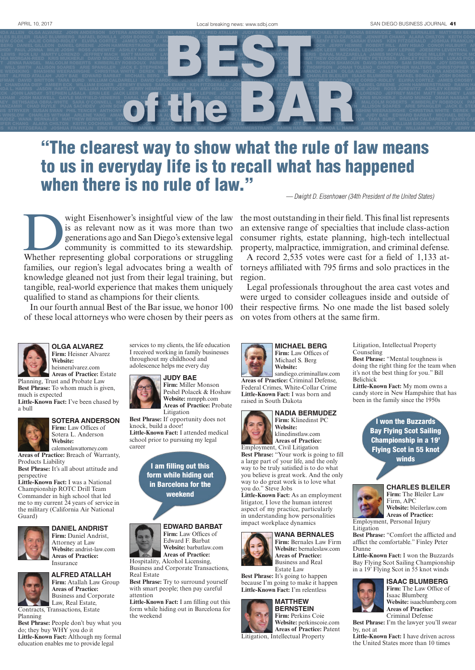

# "The clearest way to show what the rule of law means to us in everyday life is to recall what has happened when there is no rule of law."

*— Dwight D. Eisenhower (34th President of the United States)* 

Wight Eisenhower's insightful view of the law<br>
is as relevant now as it was more than two<br>
generations ago and San Diego's extensive legal<br>
community is committed to its stewardship.<br>
Whether representing global corporatio is as relevant now as it was more than two generations ago and San Diego's extensive legal community is committed to its stewardship. families, our region's legal advocates bring a wealth of knowledge gleaned not just from their legal training, but tangible, real-world experience that makes them uniquely qualified to stand as champions for their clients.

In our fourth annual Best of the Bar issue, we honor 100 of these local attorneys who were chosen by their peers as



**OLGA ALVAREZ Firm:** Heisner Alvarez **Website:** 

heisneralvarez.com **Areas of Practice:** Estate Planning, Trust and Probate Law **Best Phrase:** To whom much is given, much is expected

**Little-Known Fact:** I've been chased by a bull



### **SOTERA ANDERSON**

**Firm:** Law Offices of Sotera L. Anderson **Website:** calemonlawattorney.com

**Areas of Practice:** Breach of Warranty, Products Liability

**Best Phrase:** It's all about attitude and perspective **Little-Known Fact:** I was a National

Championship ROTC Drill Team Commander in high school that led me to my current 24 years of service in the military (California Air National Guard)



### **DANIEL ANDRIST Firm:** Daniel Andrist,

Attorney at Law **Website:** andrist-law.com **Areas of Practice:** Insurance



**ALFRED ATALLAH Firm:** Atallah Law Group **Areas of Practice:** Business and Corporate

Law, Real Estate, Contracts, Transactions, Estate Planning

**Best Phrase:** People don't buy what you do; they buy WHY you do it **Little-Known Fact:** Although my formal education enables me to provide legal

services to my clients, the life education I received working in family businesses throughout my childhood and adolescence helps me every day

### **JUDY BAE**

**Firm:** Miller Monson Peshel Polacek & Hoshaw **Website:** mmpph.com **Areas of Practice:** Probate

**Best Phrase:** If opportunity does not knock, build a door! **Little-Known Fact:** I attended medical school prior to pursuing my legal career

Litigation

I am filling out this form while hiding out in Barcelona for the weekend

### **EDWARD BARBAT**

Edward F. Barbat **Website:** barbatlaw.com **Areas of Practice:** Hospitality, Alcohol Licensing, Business and Corporate Transactions,

Real Estate **Best Phrase:** Try to surround yourself with smart people; then pay careful attention

**Little-Known Fact:** I am filling out this form while hiding out in Barcelona for the weekend

the most outstanding in their field. This final list represents an extensive range of specialties that include class-action consumer rights, estate planning, high-tech intellectual property, malpractice, immigration, and criminal defense.

A record 2,535 votes were cast for a field of 1,133 attorneys affiliated with 795 firms and solo practices in the region.

Legal professionals throughout the area cast votes and were urged to consider colleagues inside and outside of their respective firms. No one made the list based solely on votes from others at the same firm.





sandiego.criminallaw.com **Areas of Practice:** Criminal Defense, Federal Crimes, White-Collar Crime **Little-Known Fact:** I was born and raised in South Dakota



**NADIA BERMUDEZ Firm:** Klinedinst PC **Website:** klinedinstlaw.com **Areas of Practice:**

Employment, Civil Litigation **Best Phrase:** "Your work is going to fill a large part of your life, and the only way to be truly satisfied is to do what you believe is great work. And the only way to do great work is to love what you do." Steve Jobs

**Little-Known Fact:** As an employment litigator, I love the human interest aspect of my practice, particularly in understanding how personalities impact workplace dynamics



**WANA BERNALES Firm:** Bernales Law Firm **Website:** bernaleslaw.com **Areas of Practice:** Business and Real Estate Law

**Best Phrase:** It's going to happen because I'm going to make it happen **Little-Known Fact:** I'm relentless

### **MATTHEW BERNSTEIN**

**Firm:** Perkins Coie **Website:** perkinscoie.com **Areas of Practice:** Patent Litigation, Intellectual Property

Litigation, Intellectual Property Counseling

**Best Phrase:** "Mental toughness is doing the right thing for the team when it's not the best thing for you." Bill Belichick

**Little-Known Fact:** My mom owns a candy store in New Hampshire that has been in the family since the 1950s

> I won the Buzzards Bay Flying Scot Sailing Championship in a 19' Flying Scot in 55 knot winds



#### **CHARLES BLEILER Firm:** The Bleiler Law

Firm, APC **Website:** bleilerlaw.com **Areas of Practice:** Employment, Personal Injury

Litigation **Best Phrase:** "Comfort the afflicted and afflict the comfortable." Finley Peter

Dunne **Little-Known Fact:** I won the Buzzards Bay Flying Scot Sailing Championship in a 19' Flying Scot in 55 knot winds



**ISAAC BLUMBERG Firm:** The Law Office of Isaac Blumberg **Website:** isaacblumberg.com

**Areas of Practice:** Criminal Defense **Best Phrase:** I'm the lawyer you'll swear by, not at

**Little-Known Fact:** I have driven across the United States more than 10 times

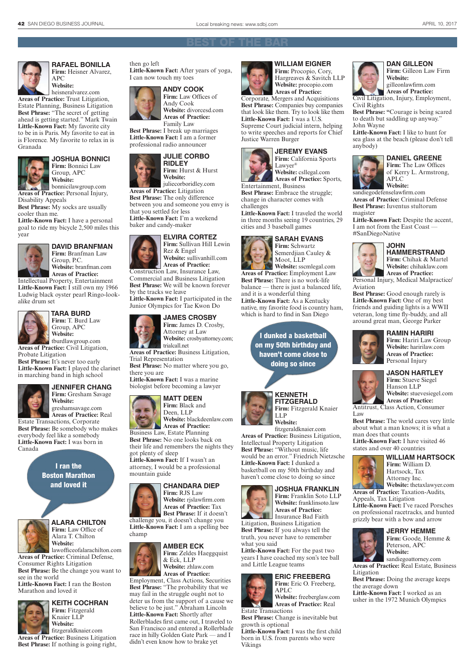

**RAFAEL BONILLA** Firm: Heisner Alvarez, APC **Website:** 

heisneralvarez.com **Areas of Practice:** Trust Litigation, Estate Planning, Business Litigation **Best Phrase:** "The secret of getting ahead is getting started." Mark Twain **Little-Known Fact:** My favorite city to be in is Paris. My favorite to eat in is Florence. My favorite to relax in is Granada



**JOSHUA BONNICI Firm:** Bonnici Law Group, APC **Website:**

bonnicilawgroup.com **Areas of Practice:** Personal Injury, Disability Appeals

**Best Phrase:** My socks are usually cooler than me.

**Little-Known Fact:** I have a personal goal to ride my bicycle 2,500 miles this year



**DAVID BRANFMAN Firm:** Branfman Law

Group, P.C. **Website:** branfman.com **Areas of Practice:**

Intellectual Property, Entertainment **Little-Known Fact:** I still own my 1966 Ludwig black oyster pearl Ringo-lookalike drum set



**TARA BURD Firm:** T. Burd Law

> Group, APC **Website:**  tburdlawgroup.com

**Areas of Practice:** Civil Litigation, Probate Litigation

**Best Phrase:** It's never too early **Little-Known Fact:** I played the clarinet in marching band in high school



Canada

#### **JENNIFER CHANG Firm:** Gresham Savage **Website:**

greshamsavage.com **Areas of Practice:** Real Estate Transactions, Corporate **Best Phrase:** Be somebody who makes everybody feel like a somebody **Little-Known Fact:** I was born in

> I ran the Boston Marathon and loved it



**ALARA CHILTON Firm:** Law Office of Alara T. Chilton

**Website:**  lawofficeofalarachilton.com **Practice:** Criminal Defense Consumer Rights Litigation

**Best Phrase:** Be the change you want to see in the world **Little-Known Fact:** I ran the Boston

Marathon and loved it



**KEITH COCHRAN Firm:** Fitzgerald Knaier LLP **Website:** 

fitzgeraldknaier.com **Areas of Practice:** Business Litigation **Best Phrase:** If nothing is going right,



then go left



**Website:** divorcesd.com **Areas of Practice:**  Family Law

**Best Phrase:** I break up marriages **Little-Known Fact:** I am a former professional radio announcer



**Firm:** Hurst & Hurst juliecorboridley.com

**Areas of Practice:** Litigation **Best Phrase:** The only difference between you and someone you envy is that you settled for less **Little-Known Fact:** I'm a weekend baker and candy-maker



**Firm:** Sullivan Hill Lewin **Website:** sullivanhill.com

Construction Law, Insurance Law, Commercial and Business Litigation **Best Phrase:** We will be known forever by the tracks we leave

**Little-Known Fact:** I participated in the Junior Olympics for Tae Kwon Do

### **JAMES CROSBY**



**Website:** crosbyattorney.com; **Areas of Practice:** Business Litigation,

Trial Representation **Best Phrase:** No matter where you go,

there you are **Little-Known Fact:** I was a marine biologist before becoming a lawyer

### **MATT DEEN**



**Website:** blackdeenlaw.com **Areas of Practice:** 

Business Law, Estate Planning **Best Phrase:** No one looks back on their life and remembers the nights they got plenty of sleep **Little-Known Fact:** If I wasn't an attorney, I would be a professional

### **CHANDARA DIEP**

**Firm:** RJS Law **Website:** rjslawfirm.com **Areas of Practice:** Tax **Best Phrase:** If it doesn't

challenge you, it doesn't change you **Little-Known Fact:** I am a spelling bee champ



mountain guide

**Firm:** Zeldes Haeggquist & Eck, LLP **Website:** zhlaw.com

**Areas of Practice:**  Employment, Class Actions, Securities **Best Phrase:** "The probability that we may fail in the struggle ought not to deter us from the support of a cause we believe to be just." Abraham Lincoln **Little-Known Fact:** Shortly after Rollerblades first came out, I traveled to San Francisco and entered a Rollerblade race in hilly Golden Gate Park — and I didn't even know how to brake yet



**WILLIAM EIGNER** Firm: Procopio, Cory, Hargreaves & Savitch LLP **Website:** procopio.com **Areas of Practice:** 

Corporate, Mergers and Acquisitions **Best Phrase:** Companies buy companies that look like them. Try to look like them

**Little-Known Fact:** I was a U.S. Supreme Court judicial intern, helping to write speeches and reports for Chief Justice Warren Burger



**Website:** csllegal.com **Areas of Practice:** Sports,

Entertainment, Business **Best Phrase:** Embrace the struggle; change in character comes with challenges

**Little-Known Fact:** I traveled the world in three months seeing 19 countries, 29 cities and 3 baseball games

### **SARAH EVANS**

**Firm:** Schwartz Semerdjian Cauley & Moot, LLP

**Website:** sscmlegal.com **Areas of Practice:** Employment Law **Best Phrase:** There is no work-life balance — there is just a balanced life, and it is a wonderful thing **Little-Known Fact:** As a Kentucky native, my favorite food is country ham, which is hard to find in San Diego

> I dunked a basketball on my 50th birthday and haven't come close to doing so since



**KENNETH FITZGERALD Firm:** Fitzgerald Knaier LLP **Website:** 

fitzgeraldknaier.com **Areas of Practice:** Business Litigation, Intellectual Property Litigation **Best Phrase:** "Without music, life would be an error." Friedrich Nietzsche **Little-Known Fact:** I dunked a basketball on my 50th birthday and haven't come close to doing so since

### **JOSHUA FRANKLIN**

**Firm:** Franklin Soto LLP **Website:** franklinsoto.law **Areas of Practice:**  Insurance Bad Faith

Litigation, Business Litigation **Best Phrase:** If you always tell the truth, you never have to remember what you said

**Little-Known Fact:** For the past two years I have coached my son's tee ball and Little League teams

### **ERIC FREEBERG Firm:** Eric O. Freeberg, APLC **Website:** freeberglaw.com



**Best Phrase:** Change is inevitable but growth is optional

**Little-Known Fact:** I was the first child born in U.S. from parents who were Vikings



**Firm:** Gilleon Law Firm **Website:**  gilleonlawfirm.com

**DAN GILLEON**

**Areas of Practice:**  Civil Litigation, Injury, Employment, Civil Rights

**Best Phrase: "**Courage is being scared to death but saddling up anyway." John Wayne

**Little-Known Fact:** I like to hunt for sea glass at the beach (please don't tell anybody)



**DANIEL GREENE**

**Firm:** The Law Offices of Kerry L. Armstrong, APLC **Website:**

sandiegodefenselawfirm.com **Areas of Practice:** Criminal Defense **Best Phrase:** Iuventus stultorum magister

**Little-Known Fact:** Despite the accent, I am not from the East Coast — #SanDiegoNative



**JOHN HAMMERSTRAND Firm:** Chihak & Martel **Website:** chihaklaw.com **Areas of Practice:** 

Personal Injury, Medical Malpractice/ Aviation

Best Phrase: Good enough rarely is **Little-Known Fact:** One of my best friends and guiding lights is a WWII veteran, long time fly-buddy, and all around great man, George Parker



### **RAMIN HARIRI** Firm: Hariri Law Group **Website:** haririlaw.com **Areas of Practice:**  Personal Injury

### **JASON HARTLEY Firm:** Stueve Siegel Hanson LLP

man does that counts

**Website:** stuevesiegel.com **Areas of Practice:**  Antitrust, Class Action, Consumer Law

**Best Phrase:** The world cares very little about what a man knows; it is what a

> **Firm:** William D. Hartsock, Tax Attorney Inc.

**WILLIAM HARTSOCK**

**Website:** thetaxlawyer.com

**Little-Known Fact:** I have visited 46 states and over 40 countries

**Areas of Practice:** Taxation-Audits,

**Little-Known Fact:** I've raced Porsches on professional racetracks, and hunted grizzly bear with a bow and arrow

> **JERRY HEMME** Firm: Goode, Hemme &

sandiegoattorney.com **Areas of Practice:** Real Estate, Business

Peterson, APC **Website:** 

**Best Phrase:** Doing the average keeps

**Little-Known Fact:** I worked as an usher in the 1972 Munich Olympics

Appeals, Tax Litigation

Litigation

**Reserves** 

the average down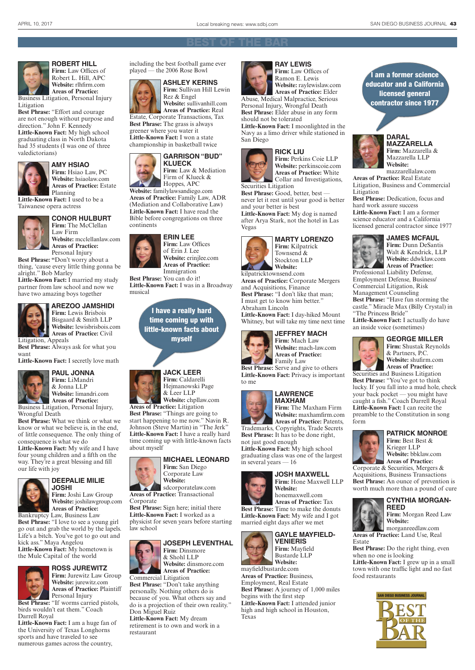

**ROBERT HILL Firm:** Law Offices of Robert L. Hill, APC **Website:** rlhfirm.com **Areas of Practice:** 

Business Litigation, Personal Injury Litigation

**Best Phrase:** "Effort and courage are not enough without purpose and direction." John F. Kennedy **Little-Known Fact:** My high school graduating class in North Dakota had 35 students (I was one of three valedictorians)



### **AMY HSIAO Firm:** Hsiao Law, PC

**Website:** hsiaolaw.com **Areas of Practice:** Estate Planning

**Little-Known Fact:** I used to be a Taiwanese opera actress



**CONOR HULBURT Firm:** The McClellan Law Firm

**Website:** mcclellanlaw.com **Areas of Practice:**  Personal Injury

**Best Phrase: "**Don't worry about a thing, 'cause every little thing gonna be alright." Bob Marley

**Little-Known Fact:** I married my study partner from law school and now we have two amazing boys together



#### **AREZOO JAMSHIDI Firm:** Lewis Brisbois

Bisgaard & Smith LLP **Website:** lewisbrisbois.com **Areas of Practice:** Civil

Litigation, Appeals **Best Phrase:** Always ask for what you

want **Little-Known Fact:** I secretly love math



### **PAUL JONNA Firm:** LiMandri & Jonna LLP **Website:** limandri.com

**Areas of Practice:**  Business Litigation, Personal Injury,

Wrongful Death **Best Phrase:** What we think or what we know or what we believe is, in the end, of little consequence. The only thing of consequence is what we do

**Little-Known Fact:** My wife and I have four young children and a fifth on the way. They're a great blessing and fill our life with joy



### **DEEPALIE MILIE**

**JOSHI Firm:** Joshi Law Group **Website:** joshilawgroup.com **Areas of Practice:** 

Bankruptcy Law, Business Law Best Phrase: "I love to see a young girl go out and grab the world by the lapels. Life's a bitch. You've got to go out and kick ass." Maya Angelou **Little-Known Fact:** My hometown is

the Mule Capital of the world



### **ROSS JUREWITZ**

**Firm:** Jurewitz Law Group **Website:** jurewitz.com **Areas of Practice:** Plaintiff Personal Injury

**Best Phrase:** "If worms carried pistols, birds wouldn't eat them." Coach Darrell Royal

**Little-Known Fact:** I am a huge fan of the University of Texas Longhorns sports and have traveled to see numerous games across the country,





**ASHLEY KERINS Firm:** Sullivan Hill Lewin Rez & Engel **Website:** sullivanhill.com

**Areas of Practice:** Real Estate, Corporate Transactions, Tax **Best Phrase:** The grass is always greener where you water it **Little-Known Fact:** I won a state championship in basketball twice



Firm of Klueck & Hoppes, APC **Website:** familylawsandiego.com **Areas of Practice:** Family Law, ADR

(Mediation and Collaborative Law) **Little-Known Fact:** I have read the Bible before congregations on three continents



**Firm:** Law Offices of Erin J. Lee **Website:** erinjlee.com **Areas of Practice:**

**Best Phrase:** You can do it! **Little-Known Fact:** I was in a Broadway musical

> I have a really hard time coming up with little-known facts about myself



**Website:** chpllaw.com **Areas of Practice:** Litigation **Best Phrase:** "Things are going to start happening to me now." Navin R.

Johnson (Steve Martin) in "The Jerk" **Little-Known Fact:** I have a really hard time coming up with little-known facts about myself



**Areas of Practice:** Transactional Corporate

**Best Phrase:** Sign here; initial there **Little-Known Fact:** I worked as a physicist for seven years before starting law school

### **JOSEPH LEVENTHAL**

**Firm:** Dinsmore & Shohl LLP **Website:** dinsmore.com **Areas of Practice:**

Commercial Litigation **Best Phrase:** "Don't take anything personally. Nothing others do is because of you. What others say and do is a projection of their own reality." Don Miguel Ruiz **Little-Known Fact:** My dream

retirement is to own and work in a restaurant



**RAY LEWIS Firm:** Law Offices of Ramon E. Lewis **Website:** raylewislaw.com **Areas of Practice:** Elder

Abuse, Medical Malpractice, Serious Personal Injury, Wrongful Death **Best Phrase:** Elder abuse in any form

should not be tolerated **Little-Known Fact:** I moonlighted in the Navy as a limo driver while stationed in San Diego



**Firm:** Perkins Coie LLP **Website:** perkinscoie.com **Areas of Practice:** White Collar and Investigations,

**Best Phrase:** Good, better, best never let it rest until your good is better and your better is best

**Little-Known Fact:** My dog is named after Arya Stark, not the hotel in Las Vegas



**MARTY LORENZO Firm:** Kilpatrick Townsend & Stockton LLP **Website:**

kilpatricktownsend.com **Areas of Practice:** Corporate Mergers and Acquisitions, Finance **Best Phrase:** "I don't like that man; I must get to know him better." Abraham Lincoln

**Little-Known Fact:** I day-hiked Mount Whitney, but will take my time next time



**Firm:** Mach Law **Website:** mach-law.com **Areas of Practice:** Family Law

**Best Phrase:** Serve and give to others **Little-Known Fact:** Privacy is important to me



**Website:** maxhamfirm.com **Areas of Practice:** Patents, Trademarks, Copyrights, Trade Secrets **Best Phrase:** It has to be done right,

not just good enough **Little-Known Fact:** My high school graduating class was one of the largest in several years — 16



**JOSH MAXWELL Firm:** Hone Maxwell LLP **Website:** honemaxwell.com

**Areas of Practice:** Tax **Best Phrase:** Time to make the donuts **Little-Known Fact:** My wife and I got married eight days after we met



**Firm:** Mayfield Bustarde LLP Website: mayfieldbustarde.com **Areas of Practice:** Business,

Employment, Real Estate **Best Phrase:** A journey of 1,000 miles begins with the first step **Little-Known Fact:** I attended junior high and high school in Houston, Texas

I am a former science educator and a California licensed general contractor since 1977



**DARAL MAZZARELLA Firm:** Mazzarella & Mazzarella LLP **Website:**

mazzarellalaw.com **Areas of Practice:** Real Estate Litigation, Business and Commercial Litigation

**Best Phrase:** Dedication, focus and hard work assure success **Little-Known Fact:** I am a former science educator and a California licensed general contractor since 1977



**JAMES MCFAUL Firm:** Dunn DeSantis Walt & Kendrick, LLP **Website:** ddwklaw.com **Areas of Practice:**

Professional Liability Defense, Employment Defense, Business/ Commercial Litigation, Risk Management Counseling **Best Phrase:** "Have fun storming the castle." Miracle Max (Billy Crystal) in "The Princess Bride"

**Little-Known Fact:** I actually do have an inside voice (sometimes)



**GEORGE MILLER Firm:** Shustak Reynolds & Partners, P.C. **Website:** shufirm.com **Areas of Practice:** Securities and Business Litigation

**Best Phrase:** "You've got to think lucky. If you fall into a mud hole, check your back pocket — you might have caught a fish." Coach Darrell Royal **Little-Known Fact:** I can recite the preamble to the Constitution in song form



**PATRICK MONROE Firm:** Best Best &

Krieger LLP **Website:** bbklaw.com **Areas of Practice:**

Corporate & Securities, Mergers & Acquisitions, Business Transactions **Best Phrase:** An ounce of prevention is worth much more than a pound of cure

**Best Phrase:** Do the right thing, even

**Little-Known Fact:** I grew up in a small town with one traffic light and no fast

N DIEGO BUSINESS JOURNAL

when no one is looking



food restaurants

Estate

#### **CYNTHIA MORGAN-REED Firm:** Morgan Reed Law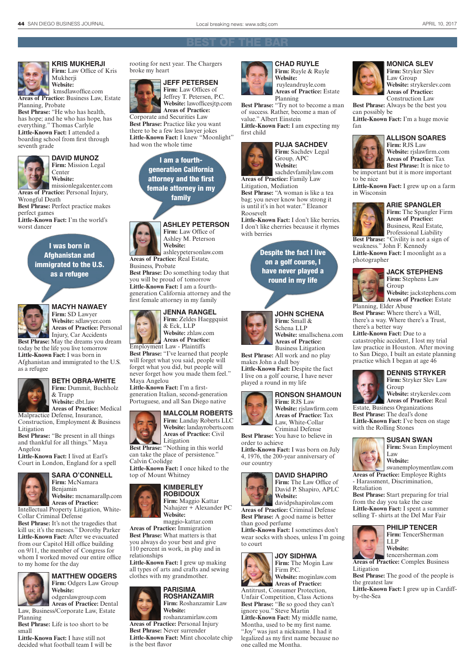

**KRIS MUKHERJI Firm:** Law Office of Kris Mukherji **Website:**

 kmsdlawoffice.com **Areas of Practice:** Business Law, Estate Planning, Probate

**Best Phrase:** "He who has health, has hope; and he who has hope, has everything." Thomas Carlyle **Little-Known Fact:** I attended a boarding school from first through seventh grade





missionlegalcenter.com **Areas of Practice:** Personal Injury, Wrongful Death

**Best Phrase:** Perfect practice makes perfect games

**Little-Known Fact:** I'm the world's worst dancer

### I was born in Afghanistan and immigrated to the U.S. as a refugee



#### **MACYH NAWAEY Firm:** SD Lawyer

**Website:** sdlawyer.com **Areas of Practice:** Personal Injury, Car Accidents **Best Phrase:** May the dreams you dream today be the life you live tomorrow

**Little-Known Fact:** I was born in Afghanistan and immigrated to the U.S. as a refugee



#### **BETH OBRA-WHITE Firm:** Dummit, Buchholz & Trapp **Website:** dbt.law

**Areas of Practice:** Medical Malpractice Defense, Insurance,

Construction, Employment & Business Litigation **Best Phrase:** "Be present in all things

and thankful for all things." Maya Angelou

**Little-Known Fact:** I lived at Earl's Court in London, England for a spell



**SARA O'CONNELL Firm:** McNamara Benjamin

**Website:** mcnamarallp.com **Areas of Practice:**

Intellectual Property Litigation, White-Collar Criminal Defense

**Best Phrase:** It's not the tragedies that kill us; it's the messes." Dorothy Parker **Little-Known Fact:** After we evacuated from our Capitol Hill office building on 9/11, the member of Congress for whom I worked moved our entire office to my home for the day



odgerslawgroup.com **Areas of Practice:** Dental Law, Business/Corporate Law, Estate

Planning **Best Phrase:** Life is too short to be small

**Little-Known Fact:** I have still not decided what football team I will be rooting for next year. The Chargers broke my heart



**Firm:** Law Offices of Jeffrey T. Petersen, P.C. **Website:** lawofficesjtp.com **Areas of Practice:** Corporate and Securities Law **Best Phrase:** Practice like you want there to be a few less lawyer jokes **Little-Known Fact:** I knew "Moonlight" had won the whole time

> I am a fourthgeneration California attorney and the first female attorney in my family



**ASHLEY PETERSON Firm:** Law Office of Ashley M. Peterson

ashleypetersonlaw.com **Areas of Practice:** Real Estate, Business, Probate **Best Phrase:** Do something today that

you will be proud of tomorrow **Little-Known Fact:** I am a fourthgeneration California attorney and the first female attorney in my family

### **JENNA RANGEL**

**Firm:** Zeldes Haeggquist & Eck, LLP **Website:** zhlaw.com **Areas of Practice:**

Employment Law - Plaintiffs **Best Phrase:** "I've learned that people will forget what you said, people will forget what you did, but people will never forget how you made them feel." Maya Angelou

**Little-Known Fact:** I'm a firstgeneration Italian, second-generation Portuguese, and all San Diego native

#### **MALCOLM ROBERTS Firm:** Landay Roberts LLC



**Best Phrase:** "Nothing in this world can take the place of persistence." Calvin Coolidge

**Little-Known Fact:** I once hiked to the top of Mount Whitney



**ROBIDOUX Firm:** Maggio Kattar Nahajzer + Alexander PC **Website:**

maggio-kattar.com **Areas of Practice:** Immigration **Best Phrase:** What matters is that you always do your best and give 110 percent in work, in play and in relationships

**Little-Known Fact:** I grew up making all types of arts and crafts and sewing clothes with my grandmother.



### **PARISIMA ROSHANZAMIR**

**Firm:** Roshanzamir Law **Website:**

roshanzamirlaw.com **Areas of Practice:** Personal Injury **Best Phrase:** Never surrender

**Little-Known Fact:** Mint chocolate chip is the best flavor



**CHAD RUYLE Firm:** Ruyle & Ruyle **Website:** ruyleandruyle.com

### **Areas of Practice:** Estate Planning

**Best Phrase:** "Try not to become a man of success. Rather, become a man of value." Albert Einstein **Little-Known Fact:** I am expecting my

first child



**PUJA SACHDEV Firm:** Sachdev Legal Group, APC

sachdevfamilylaw.com **Areas of Practice:** Family Law Litigation, Mediation

**Best Phrase:** "A woman is like a tea bag; you never know how strong it is until it's in hot water." Eleanor Roosevelt

**Little-Known Fact:** I don't like berries. I don't like cherries because it rhymes with berries

> Despite the fact I live on a golf course, I have never played a round in my life





Business Litigation

**Best Phrase:** All work and no play makes John a dull boy **Little-Known Fact:** Despite the fact I live on a golf course, I have never played a round in my life



**Firm:** RJS Law **Website:** rjslawfirm.com **Areas of Practice:** Tax Law, White-Collar Criminal Defense

**RONSON SHAMOUN**

**Best Phrase:** You have to believe in order to achieve

**Little-Known Fact:** I was born on July 4, 1976, the 200-year anniversary of our country



David P. Shapiro, APLC **Website:** davidpshapirolaw.com

**Areas of Practice:** Criminal Defense **Best Phrase:** A good name is better than good perfume

**Little-Known Fact:** I sometimes don't wear socks with shoes, unless I'm going to court

#### **JOY SIDHWA**



**Areas of Practice:** Antitrust, Consumer Protection, Unfair Competition, Class Actions **Best Phrase:** "Be so good they can't ignore you." Steve Martin **Little-Known Fact:** My middle name, Montha, used to be my first name. "Joy" was just a nickname. I had it legalized as my first name because no one called me Montha.



#### **MONICA SLEV Firm:** Stryker Slev Law Group **Website:** strykerslev.com

**Areas of Practice:** Construction Law **Best Phrase:** Always be the best you

can possibly be **Little-Known Fact:** I'm a huge movie fan



**ALLISON SOARES Firm:** RJS Law **Website:** rjslawfirm.com

**Areas of Practice:** Tax **Best Phrase:** It is nice to be important but it is more important to be nice

**Little-Known Fact:** I grew up on a farm in Wisconsin



**ARIE SPANGLER Firm:** The Spangler Firm **Areas of Practice:** Business, Real Estate,

Professional Liability **Best Phrase:** "Civility is not a sign of weakness." John F. Kennedy **Little-Known Fact:** I moonlight as a photographer



**JACK STEPHENS Firm:** Stephens Law Group **Website:** jackstephens.com

**Areas of Practice:** Estate Planning, Elder Abuse **Best Phrase:** Where there's a Will,

there's a way. Where there's a Trust, there's a better way **Little-Known Fact:** Due to a catastrophic accident, I lost my trial

law practice in Houston. After moving to San Diego, I built an estate planning practice which I began at age 46

Group

Estate, Business Organizations **Best Phrase:** The deal's done

> Law **Website:**

**Areas of Practice:** Employee Rights - Harassment, Discrimination,

**Best Phrase:** Start preparing for trial from the day you take the case **Little-Known Fact:** I spent a summer selling T- shirts at the Del Mar Fair

> LLP **Website:**

**PHILIP TENCER Firm:** TencerSherman

tencersherman.com

**Areas of Practice:** Complex Business

**Best Phrase:** The good of the people is

**Little-Known Fact:** I grew up in Cardiff-

with the Rolling Stones

Retaliation

Litigation

by-the-Sea

the greatest law

**Little-Known Fact:** I've been on stage

**SUSAN SWAN Firm:** Swan Employment

swanemploymentlaw.com

**DENNIS STRYKER Firm:** Stryker Slev Law

**Website:** strykerslev.com **Areas of Practice:** Real